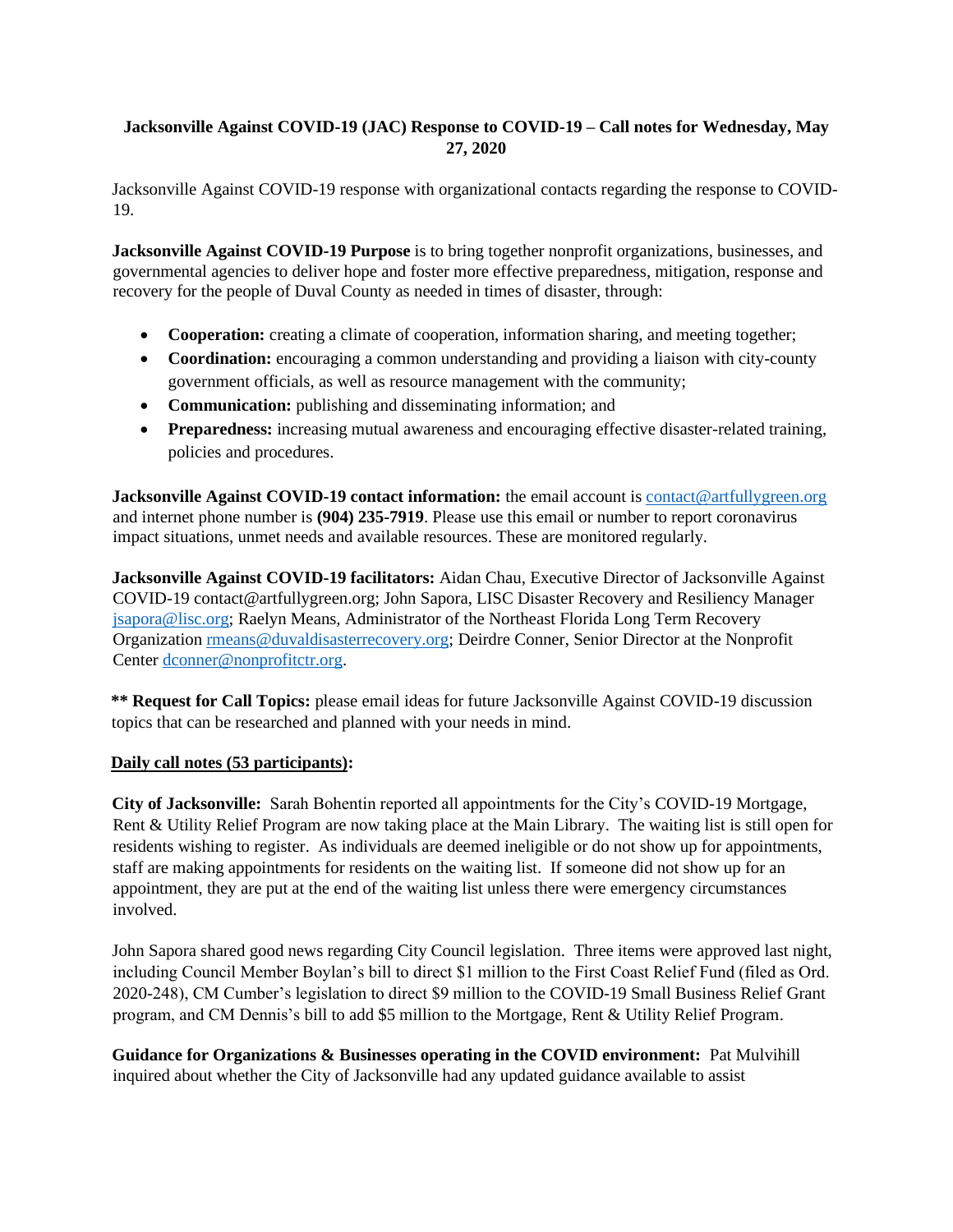# **Jacksonville Against COVID-19 (JAC) Response to COVID-19 – Call notes for Wednesday, May 27, 2020**

Jacksonville Against COVID-19 response with organizational contacts regarding the response to COVID-19.

**Jacksonville Against COVID-19 Purpose** is to bring together nonprofit organizations, businesses, and governmental agencies to deliver hope and foster more effective preparedness, mitigation, response and recovery for the people of Duval County as needed in times of disaster, through:

- **Cooperation:** creating a climate of cooperation, information sharing, and meeting together;
- **Coordination:** encouraging a common understanding and providing a liaison with city-county government officials, as well as resource management with the community;
- **Communication:** publishing and disseminating information; and
- **Preparedness:** increasing mutual awareness and encouraging effective disaster-related training, policies and procedures.

**Jacksonville Against COVID-19 contact information:** the email account is contact@artfullygreen.org and internet phone number is **(904) 235-7919**. Please use this email or number to report coronavirus impact situations, unmet needs and available resources. These are monitored regularly.

**Jacksonville Against COVID-19 facilitators:** Aidan Chau, Executive Director of Jacksonville Against COVID-19 contact@artfullygreen.org; John Sapora, LISC Disaster Recovery and Resiliency Manager [jsapora@lisc.org;](mailto:jsapora@lisc.org) Raelyn Means, Administrator of the Northeast Florida Long Term Recovery Organizatio[n rmeans@duvaldisasterrecovery.org;](mailto:rmeans@duvaldisasterrecovery.org) Deirdre Conner, Senior Director at the Nonprofit Center [dconner@nonprofitctr.org.](mailto:dconner@nonprofitctr.org)

**\*\* Request for Call Topics:** please email ideas for future Jacksonville Against COVID-19 discussion topics that can be researched and planned with your needs in mind.

## **Daily call notes (53 participants):**

**City of Jacksonville:** Sarah Bohentin reported all appointments for the City's COVID-19 Mortgage, Rent & Utility Relief Program are now taking place at the Main Library. The waiting list is still open for residents wishing to register. As individuals are deemed ineligible or do not show up for appointments, staff are making appointments for residents on the waiting list. If someone did not show up for an appointment, they are put at the end of the waiting list unless there were emergency circumstances involved.

John Sapora shared good news regarding City Council legislation. Three items were approved last night, including Council Member Boylan's bill to direct \$1 million to the First Coast Relief Fund (filed as Ord. 2020-248), CM Cumber's legislation to direct \$9 million to the COVID-19 Small Business Relief Grant program, and CM Dennis's bill to add \$5 million to the Mortgage, Rent & Utility Relief Program.

**Guidance for Organizations & Businesses operating in the COVID environment:** Pat Mulvihill inquired about whether the City of Jacksonville had any updated guidance available to assist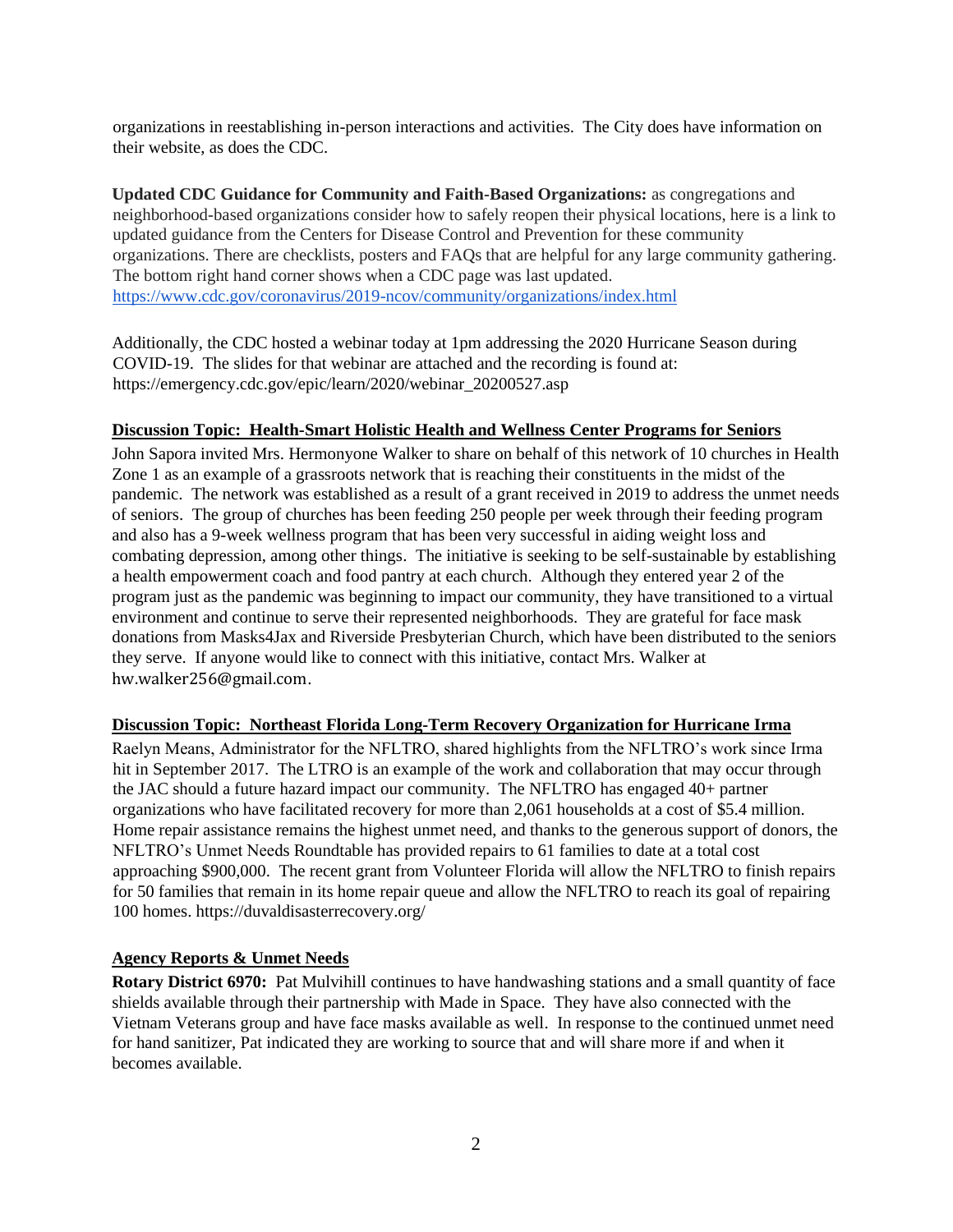organizations in reestablishing in-person interactions and activities. The City does have information on their website, as does the CDC.

**Updated CDC Guidance for Community and Faith-Based Organizations:** as congregations and neighborhood-based organizations consider how to safely reopen their physical locations, here is a link to updated guidance from the Centers for Disease Control and Prevention for these community organizations. There are checklists, posters and FAQs that are helpful for any large community gathering. The bottom right hand corner shows when a CDC page was last updated. <https://www.cdc.gov/coronavirus/2019-ncov/community/organizations/index.html>

Additionally, the CDC hosted a webinar today at 1pm addressing the 2020 Hurricane Season during COVID-19. The slides for that webinar are attached and the recording is found at: https://emergency.cdc.gov/epic/learn/2020/webinar\_20200527.asp

#### **Discussion Topic: Health-Smart Holistic Health and Wellness Center Programs for Seniors**

John Sapora invited Mrs. Hermonyone Walker to share on behalf of this network of 10 churches in Health Zone 1 as an example of a grassroots network that is reaching their constituents in the midst of the pandemic. The network was established as a result of a grant received in 2019 to address the unmet needs of seniors. The group of churches has been feeding 250 people per week through their feeding program and also has a 9-week wellness program that has been very successful in aiding weight loss and combating depression, among other things. The initiative is seeking to be self-sustainable by establishing a health empowerment coach and food pantry at each church. Although they entered year 2 of the program just as the pandemic was beginning to impact our community, they have transitioned to a virtual environment and continue to serve their represented neighborhoods. They are grateful for face mask donations from Masks4Jax and Riverside Presbyterian Church, which have been distributed to the seniors they serve. If anyone would like to connect with this initiative, contact Mrs. Walker at [hw.walker256@gmail.com](mailto:hw.walker256@gmail.com).

#### **Discussion Topic: Northeast Florida Long-Term Recovery Organization for Hurricane Irma**

Raelyn Means, Administrator for the NFLTRO, shared highlights from the NFLTRO's work since Irma hit in September 2017. The LTRO is an example of the work and collaboration that may occur through the JAC should a future hazard impact our community. The NFLTRO has engaged 40+ partner organizations who have facilitated recovery for more than 2,061 households at a cost of \$5.4 million. Home repair assistance remains the highest unmet need, and thanks to the generous support of donors, the NFLTRO's Unmet Needs Roundtable has provided repairs to 61 families to date at a total cost approaching \$900,000. The recent grant from Volunteer Florida will allow the NFLTRO to finish repairs for 50 families that remain in its home repair queue and allow the NFLTRO to reach its goal of repairing 100 homes. https://duvaldisasterrecovery.org/

### **Agency Reports & Unmet Needs**

**Rotary District 6970:** Pat Mulvihill continues to have handwashing stations and a small quantity of face shields available through their partnership with Made in Space. They have also connected with the Vietnam Veterans group and have face masks available as well. In response to the continued unmet need for hand sanitizer, Pat indicated they are working to source that and will share more if and when it becomes available.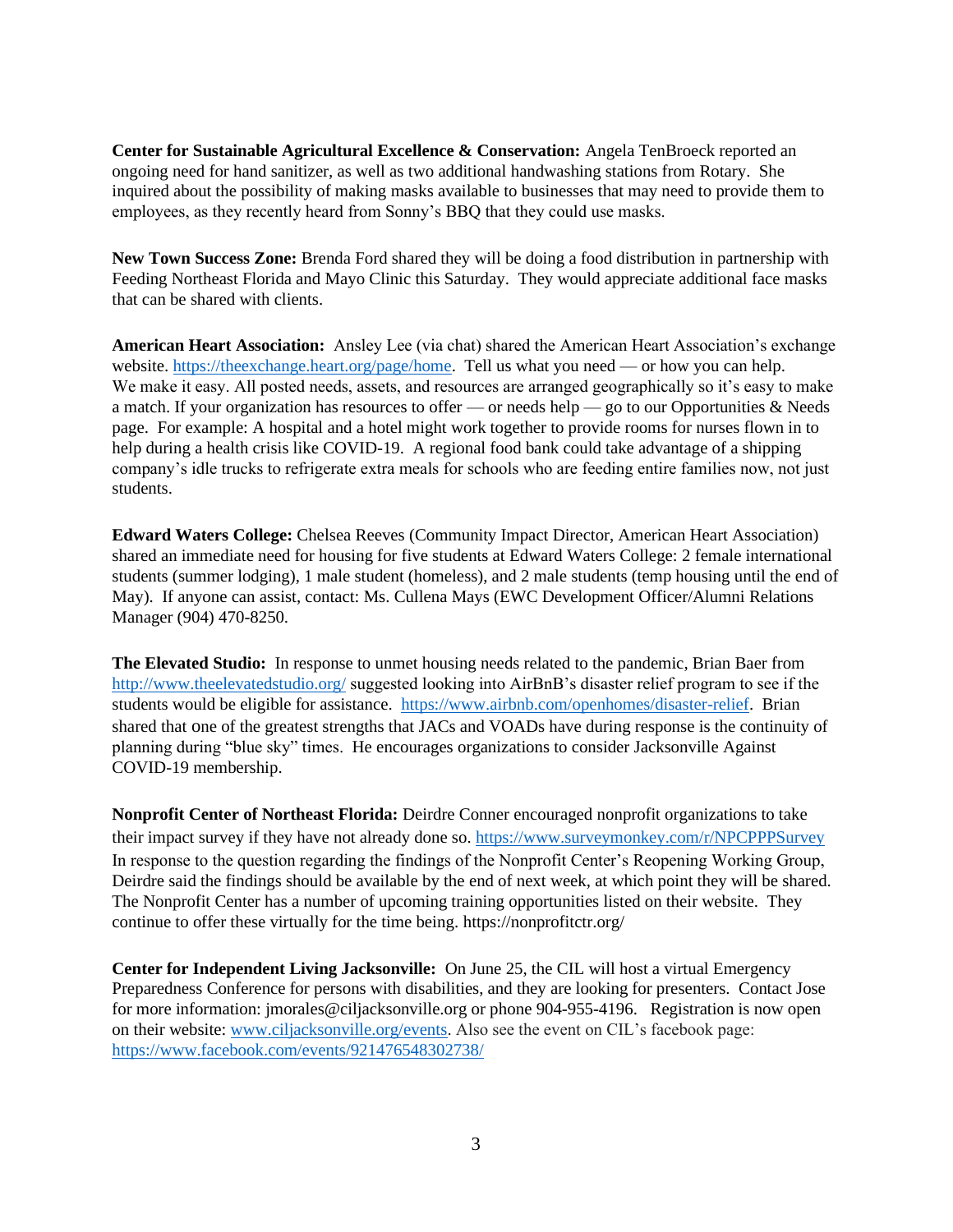**Center for Sustainable Agricultural Excellence & Conservation:** Angela TenBroeck reported an ongoing need for hand sanitizer, as well as two additional handwashing stations from Rotary. She inquired about the possibility of making masks available to businesses that may need to provide them to employees, as they recently heard from Sonny's BBQ that they could use masks.

**New Town Success Zone:** Brenda Ford shared they will be doing a food distribution in partnership with Feeding Northeast Florida and Mayo Clinic this Saturday. They would appreciate additional face masks that can be shared with clients.

**American Heart Association:** Ansley Lee (via chat) shared the American Heart Association's exchange website. [https://theexchange.heart.org/page/home.](https://theexchange.heart.org/page/home) Tell us what you need — or how you can help. We make it easy. All posted needs, assets, and resources are arranged geographically so it's easy to make a match. If your organization has resources to offer — or needs help — go to our Opportunities & Needs page. For example: A hospital and a hotel might work together to provide rooms for nurses flown in to help during a health crisis like COVID-19. A regional food bank could take advantage of a shipping company's idle trucks to refrigerate extra meals for schools who are feeding entire families now, not just students.

**Edward Waters College:** Chelsea Reeves (Community Impact Director, American Heart Association) shared an immediate need for housing for five students at Edward Waters College: 2 female international students (summer lodging), 1 male student (homeless), and 2 male students (temp housing until the end of May). If anyone can assist, contact: Ms. Cullena Mays (EWC Development Officer/Alumni Relations Manager (904) 470-8250.

**The Elevated Studio:** In response to unmet housing needs related to the pandemic, Brian Baer from <http://www.theelevatedstudio.org/> suggested looking into AirBnB's disaster relief program to see if the students would be eligible for assistance. [https://www.airbnb.com/openhomes/disaster-relief.](https://www.airbnb.com/openhomes/disaster-relief) Brian shared that one of the greatest strengths that JACs and VOADs have during response is the continuity of planning during "blue sky" times. He encourages organizations to consider Jacksonville Against COVID-19 membership.

**Nonprofit Center of Northeast Florida:** Deirdre Conner encouraged nonprofit organizations to take their impact survey if they have not already done so. <https://www.surveymonkey.com/r/NPCPPPSurvey> In response to the question regarding the findings of the Nonprofit Center's Reopening Working Group, Deirdre said the findings should be available by the end of next week, at which point they will be shared. The Nonprofit Center has a number of upcoming training opportunities listed on their website. They continue to offer these virtually for the time being. https://nonprofitctr.org/

**Center for Independent Living Jacksonville:** On June 25, the CIL will host a virtual Emergency Preparedness Conference for persons with disabilities, and they are looking for presenters. Contact Jose for more information: jmorales@ciljacksonville.org or phone 904-955-4196. Registration is now open on their website: [www.ciljacksonville.org/events.](http://www.ciljacksonville.org/events) Also see the event on CIL's facebook page: <https://www.facebook.com/events/921476548302738/>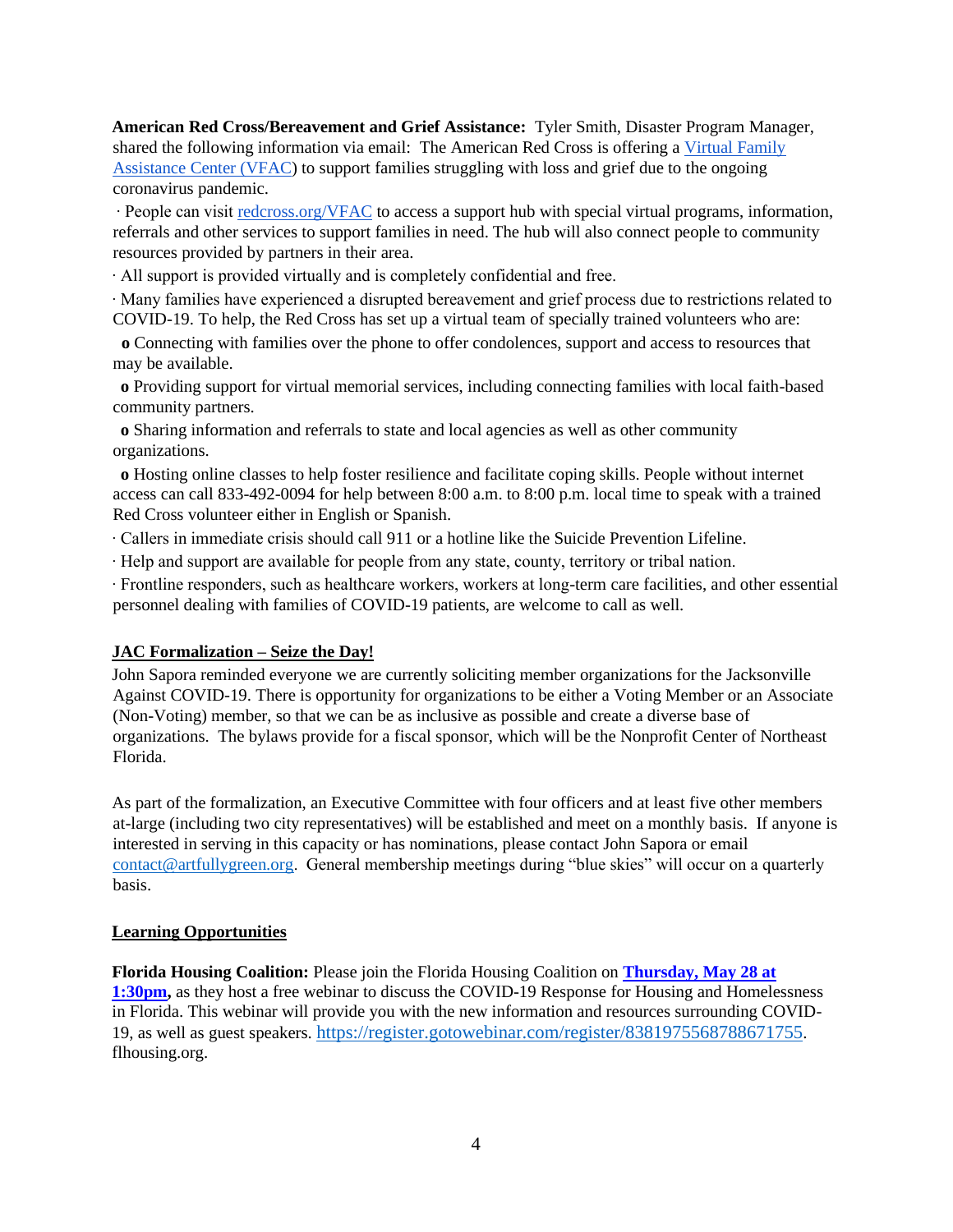**American Red Cross/Bereavement and Grief Assistance:** Tyler Smith, Disaster Program Manager, shared the following information via email: The American Red Cross is offering [a Virtual Family](https://www.redcross.org/virtual-family-assistance-center.html)  [Assistance Center \(VFAC\)](https://www.redcross.org/virtual-family-assistance-center.html) to support families struggling with loss and grief due to the ongoing coronavirus pandemic.

∙ People can visit [redcross.org/VFAC](http://redcross.org/VFAC) to access a support hub with special virtual programs, information, referrals and other services to support families in need. The hub will also connect people to community resources provided by partners in their area.

∙ All support is provided virtually and is completely confidential and free.

∙ Many families have experienced a disrupted bereavement and grief process due to restrictions related to COVID-19. To help, the Red Cross has set up a virtual team of specially trained volunteers who are:

 **o** Connecting with families over the phone to offer condolences, support and access to resources that may be available.

**o** Providing support for virtual memorial services, including connecting families with local faith-based community partners.

 **o** Sharing information and referrals to state and local agencies as well as other community organizations.

 **o** Hosting online classes to help foster resilience and facilitate coping skills. People without internet access can call 833-492-0094 for help between 8:00 a.m. to 8:00 p.m. local time to speak with a trained Red Cross volunteer either in English or Spanish.

∙ Callers in immediate crisis should call 911 or a hotline like the Suicide Prevention Lifeline.

∙ Help and support are available for people from any state, county, territory or tribal nation.

∙ Frontline responders, such as healthcare workers, workers at long-term care facilities, and other essential personnel dealing with families of COVID-19 patients, are welcome to call as well.

### **JAC Formalization – Seize the Day!**

John Sapora reminded everyone we are currently soliciting member organizations for the Jacksonville Against COVID-19. There is opportunity for organizations to be either a Voting Member or an Associate (Non-Voting) member, so that we can be as inclusive as possible and create a diverse base of organizations. The bylaws provide for a fiscal sponsor, which will be the Nonprofit Center of Northeast Florida.

As part of the formalization, an Executive Committee with four officers and at least five other members at-large (including two city representatives) will be established and meet on a monthly basis. If anyone is interested in serving in this capacity or has nominations, please contact John Sapora or email [contact@artfullygreen.org.](mailto:coad@duvaldisasterrecovery.org) General membership meetings during "blue skies" will occur on a quarterly basis.

#### **Learning Opportunities**

**Florida Housing Coalition:** Please join the Florida Housing Coalition on **[Thursday, May 28](https://fhc.wildapricot.org/EmailTracker/LinkTracker.ashx?linkAndRecipientCode=2i%2bAXriWZXRKoIn2DUtM%2bqOWu0S7CmXkXwx6oU2%2fYsJgmdgrC8B7j%2fm34ybFClocZEbjPbIPplx%2fgyO5bmyF6fpe0RYmm9xpMFrB4QYyQqw%3d) at [1:30pm,](https://fhc.wildapricot.org/EmailTracker/LinkTracker.ashx?linkAndRecipientCode=2i%2bAXriWZXRKoIn2DUtM%2bqOWu0S7CmXkXwx6oU2%2fYsJgmdgrC8B7j%2fm34ybFClocZEbjPbIPplx%2fgyO5bmyF6fpe0RYmm9xpMFrB4QYyQqw%3d)** as they host a free webinar to discuss the COVID-19 Response for Housing and Homelessness in Florida. This webinar will provide you with the new information and resources surrounding COVID-19, as well as guest speakers. <https://register.gotowebinar.com/register/8381975568788671755>. flhousing.org.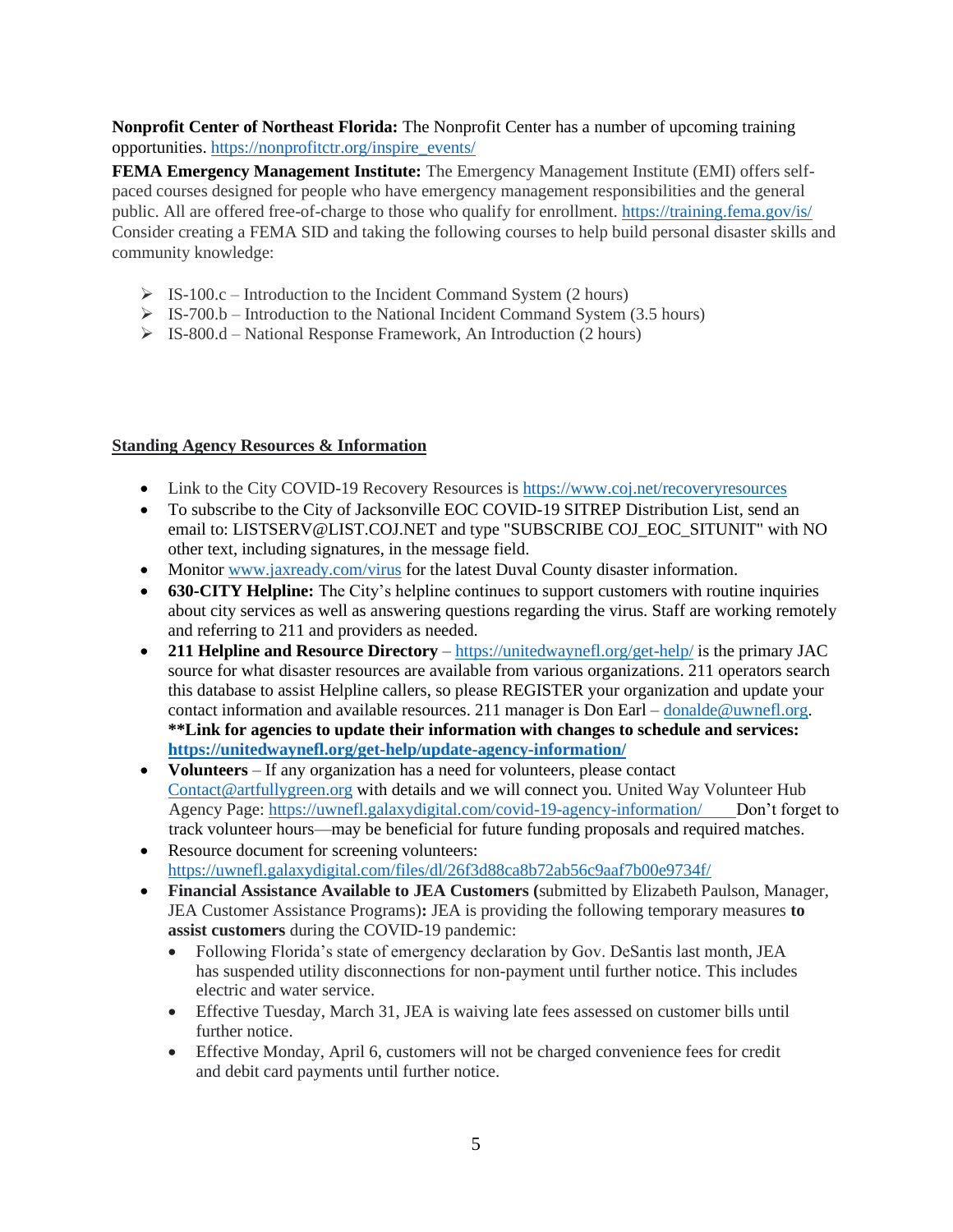# **Nonprofit Center of Northeast Florida:** The Nonprofit Center has a number of upcoming training opportunities. [https://nonprofitctr.org/inspire\\_events/](https://nonprofitctr.org/inspire_events/)

**FEMA Emergency Management Institute:** The Emergency Management Institute (EMI) offers selfpaced courses designed for people who have emergency management responsibilities and the general public. All are offered free-of-charge to those who qualify for enrollment. <https://training.fema.gov/is/> Consider creating a FEMA SID and taking the following courses to help build personal disaster skills and community knowledge:

- $\triangleright$  IS-100.c Introduction to the Incident Command System (2 hours)
- $\triangleright$  IS-700.b Introduction to the National Incident Command System (3.5 hours)
- ➢ IS-800.d National Response Framework, An Introduction (2 hours)

# **Standing Agency Resources & Information**

- Link to the City COVID-19 Recovery Resources is<https://www.coj.net/recoveryresources>
- To subscribe to the City of Jacksonville EOC COVID-19 SITREP Distribution List, send an email to: LISTSERV@LIST.COJ.NET and type "SUBSCRIBE COJ\_EOC\_SITUNIT" with NO other text, including signatures, in the message field.
- Monitor [www.jaxready.com/](http://www.jaxready.com/)virus for the latest Duval County disaster information.
- **630-CITY Helpline:** The City's helpline continues to support customers with routine inquiries about city services as well as answering questions regarding the virus. Staff are working remotely and referring to 211 and providers as needed.
- **211 Helpline and Resource Directory** <https://unitedwaynefl.org/get-help/> is the primary JAC source for what disaster resources are available from various organizations. 211 operators search this database to assist Helpline callers, so please REGISTER your organization and update your contact information and available resources. 211 manager is Don Earl – [donalde@uwnefl.org.](mailto:donalde@uwnefl.org) **\*\*Link for agencies to update their information with changes to schedule and services: <https://unitedwaynefl.org/get-help/update-agency-information/>**
- **Volunteers** If any organization has a need for volunteers, please contact Contact@artfullygreen.org with details and we will connect you. United Way Volunteer Hub Agency Page: [https://uwnefl.galaxydigital.com/covid-19-agency-information/ D](https://uwnefl.galaxydigital.com/covid-19-agency-information/)on't forget to track volunteer hours—may be beneficial for future funding proposals and required matches.
- Resource document for screening volunteers: <https://uwnefl.galaxydigital.com/files/dl/26f3d88ca8b72ab56c9aaf7b00e9734f/>
- **Financial Assistance Available to JEA Customers (**submitted by Elizabeth Paulson, Manager, JEA Customer Assistance Programs)**:** JEA is providing the following temporary measures **to assist customers** during the COVID-19 pandemic:
	- Following Florida's state of emergency declaration by Gov. DeSantis last month, JEA has suspended utility disconnections for non-payment until further notice. This includes electric and water service.
	- Effective Tuesday, March 31, JEA is waiving late fees assessed on customer bills until further notice.
	- Effective Monday, April 6, customers will not be charged convenience fees for credit and debit card payments until further notice.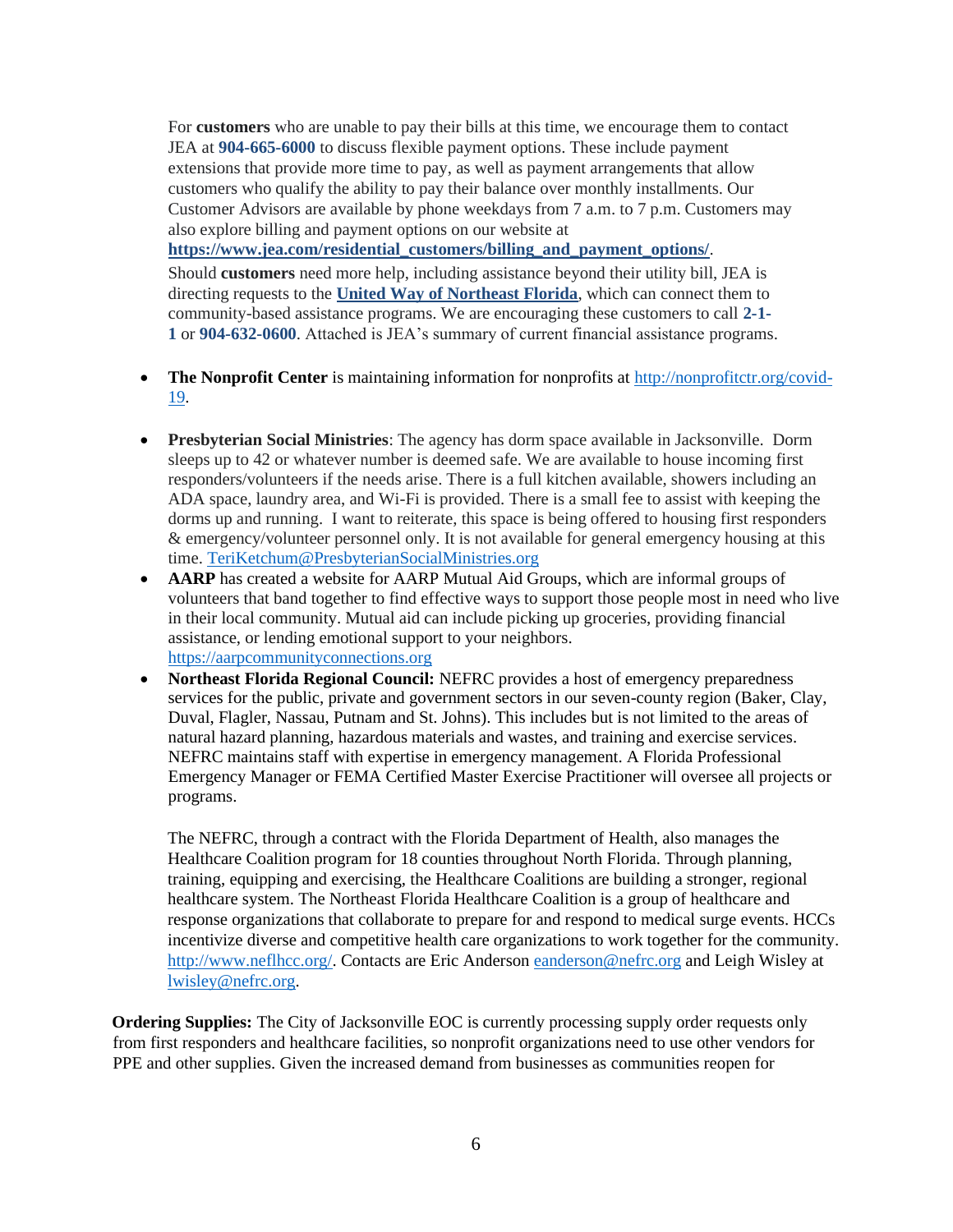For **customers** who are unable to pay their bills at this time, we encourage them to contact JEA at **904-665-6000** to discuss flexible payment options. These include payment extensions that provide more time to pay, as well as payment arrangements that allow customers who qualify the ability to pay their balance over monthly installments. Our Customer Advisors are available by phone weekdays from 7 a.m. to 7 p.m. Customers may also explore billing and payment options on our website at

**[https://www.jea.com/residential\\_customers/billing\\_and\\_payment\\_options/](https://www.jea.com/residential_customers/billing_and_payment_options/)**.

Should **customers** need more help, including assistance beyond their utility bill, JEA is directing requests to the **[United Way of Northeast Florida](https://urldefense.com/v3/__https:/unitedwaynefl.org/get-help/__;!!PTbBrQ!IzomZkW6vsPUjG3T43VoD4OGLI0bjVRSmiL3lL91A9k8LGFs8i05-YTH7fs$)**, which can connect them to community-based assistance programs. We are encouraging these customers to call **2-1- 1** or **904-632-0600**. Attached is JEA's summary of current financial assistance programs.

- **The Nonprofit Center** is maintaining information for nonprofits at [http://nonprofitctr.org/covid-](http://nonprofitctr.org/covid-19)[19.](http://nonprofitctr.org/covid-19)
- **Presbyterian Social Ministries**: The agency has dorm space available in Jacksonville. Dorm sleeps up to 42 or whatever number is deemed safe. We are available to house incoming first responders/volunteers if the needs arise. There is a full kitchen available, showers including an ADA space, laundry area, and Wi-Fi is provided. There is a small fee to assist with keeping the dorms up and running. I want to reiterate, this space is being offered to housing first responders & emergency/volunteer personnel only. It is not available for general emergency housing at this time. [TeriKetchum@PresbyterianSocialMinistries.org](mailto:TeriKetchum@PresbyterianSocialMinistries.org)
- **AARP** has created a website for AARP Mutual Aid Groups, which are informal groups of volunteers that band together to find effective ways to support those people most in need who live in their local community. Mutual aid can include picking up groceries, providing financial assistance, or lending emotional support to your neighbors. [https://aarpcommunityconnections.org](https://aarpcommunityconnections.org/)
- **Northeast Florida Regional Council:** NEFRC provides a host of emergency preparedness services for the public, private and government sectors in our seven-county region (Baker, Clay, Duval, Flagler, Nassau, Putnam and St. Johns). This includes but is not limited to the areas of natural hazard planning, hazardous materials and wastes, and training and exercise services. NEFRC maintains staff with expertise in emergency management. A Florida Professional Emergency Manager or FEMA Certified Master Exercise Practitioner will oversee all projects or programs.

The NEFRC, through a contract with the Florida Department of Health, also manages the Healthcare Coalition program for 18 counties throughout North Florida. Through planning, training, equipping and exercising, the Healthcare Coalitions are building a stronger, regional healthcare system. The Northeast Florida Healthcare Coalition is a group of healthcare and response organizations that collaborate to prepare for and respond to medical surge events. HCCs incentivize diverse and competitive health care organizations to work together for the community. [http://www.neflhcc.org/.](http://www.neflhcc.org/) Contacts are Eric Anderson [eanderson@nefrc.org](mailto:eanderson@nefrc.org) and Leigh Wisley at [lwisley@nefrc.org.](mailto:lwisley@nefrc.org)

**Ordering Supplies:** The City of Jacksonville EOC is currently processing supply order requests only from first responders and healthcare facilities, so nonprofit organizations need to use other vendors for PPE and other supplies. Given the increased demand from businesses as communities reopen for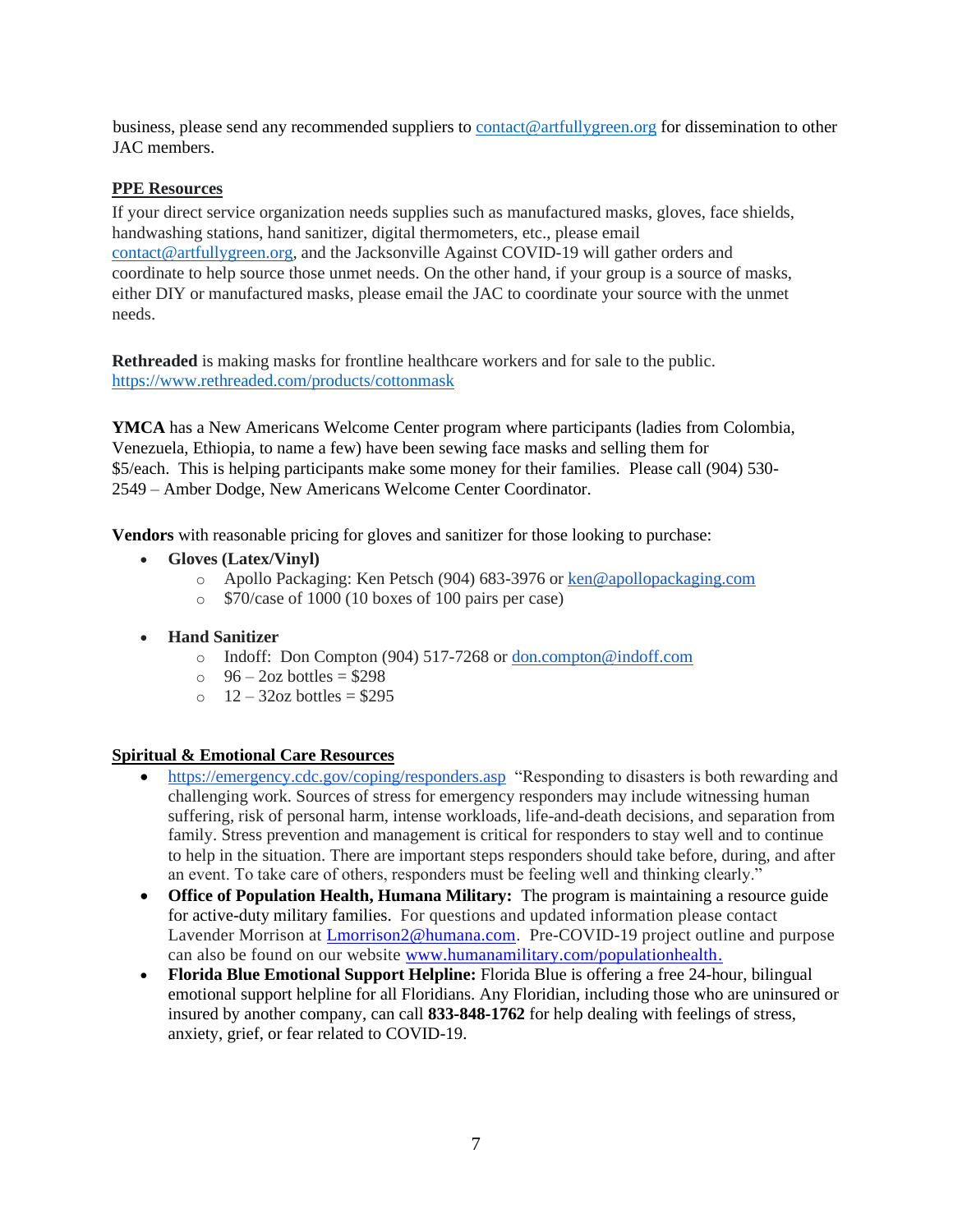business, please send any recommended suppliers to [contact@artfullygreen.org](mailto:coad@duvaldisasterrecovery.org) for dissemination to other JAC members.

### **PPE Resources**

If your direct service organization needs supplies such as manufactured masks, gloves, face shields, handwashing stations, hand sanitizer, digital thermometers, etc., please email [contact@artfullygreen.org,](mailto:coad@duvaldisasterrecovery.org) and the Jacksonville Against COVID-19 will gather orders and coordinate to help source those unmet needs. On the other hand, if your group is a source of masks, either DIY or manufactured masks, please email the JAC to coordinate your source with the unmet needs.

**Rethreaded** is making masks for frontline healthcare workers and for sale to the public. <https://www.rethreaded.com/products/cottonmask>

**YMCA** has a New Americans Welcome Center program where participants (ladies from Colombia, Venezuela, Ethiopia, to name a few) have been sewing face masks and selling them for \$5/each. This is helping participants make some money for their families. Please call (904) 530- 2549 – Amber Dodge, New Americans Welcome Center Coordinator.

**Vendors** with reasonable pricing for gloves and sanitizer for those looking to purchase:

- **Gloves (Latex/Vinyl)**
	- o Apollo Packaging: Ken Petsch (904) 683-3976 or [ken@apollopackaging.com](mailto:ken@apollopackaging.com)
	- o \$70/case of 1000 (10 boxes of 100 pairs per case)
- **Hand Sanitizer**
	- o Indoff: Don Compton (904) 517-7268 or [don.compton@indoff.com](mailto:don.compton@indoff.com)
	- $\degree$  96 2oz bottles = \$298
	- $\degree$  12 32oz bottles = \$295

#### **Spiritual & Emotional Care Resources**

- <https://emergency.cdc.gov/coping/responders.asp>"Responding to disasters is both rewarding and challenging work. Sources of stress for emergency responders may include witnessing human suffering, risk of personal harm, intense workloads, life-and-death decisions, and separation from family. Stress prevention and management is critical for responders to stay well and to continue to help in the situation. There are important steps responders should take before, during, and after an event. To take care of others, responders must be feeling well and thinking clearly."
- **Office of Population Health, Humana Military:** The program is maintaining a resource guide for active-duty military families. For questions and updated information please contact Lavender Morrison at [Lmorrison2@humana.com.](mailto:Lmorrison2@humana.com) Pre-COVID-19 project outline and purpose can also be found on our website [www.humanamilitary.com/populationhealth.](http://www.humanamilitary.com/populationhealth)
- **Florida Blue Emotional Support Helpline:** Florida Blue is offering a free 24-hour, bilingual emotional support helpline for all Floridians. Any Floridian, including those who are uninsured or insured by another company, can call **833-848-1762** for help dealing with feelings of stress, anxiety, grief, or fear related to COVID-19.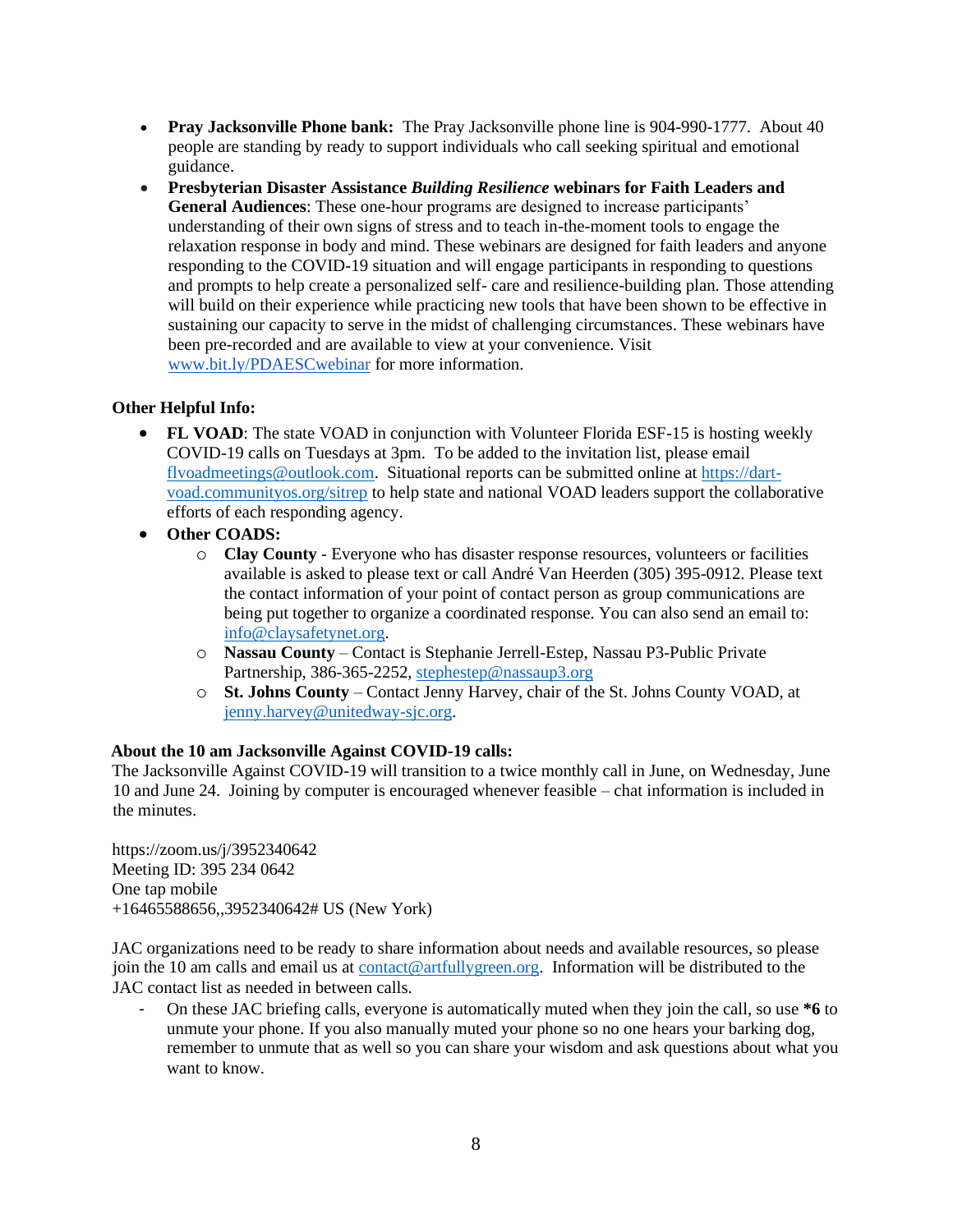- **Pray Jacksonville Phone bank:** The Pray Jacksonville phone line is 904-990-1777. About 40 people are standing by ready to support individuals who call seeking spiritual and emotional guidance.
- **Presbyterian Disaster Assistance** *Building Resilience* **webinars for Faith Leaders and General Audiences**: These one-hour programs are designed to increase participants' understanding of their own signs of stress and to teach in-the-moment tools to engage the relaxation response in body and mind. These webinars are designed for faith leaders and anyone responding to the COVID-19 situation and will engage participants in responding to questions and prompts to help create a personalized self- care and resilience-building plan. Those attending will build on their experience while practicing new tools that have been shown to be effective in sustaining our capacity to serve in the midst of challenging circumstances. These webinars have been pre-recorded and are available to view at your convenience. Visit [www.bit.ly/PDAESCwebinar](http://www.bit.ly/PDAESCwebinar) for more information.

### **Other Helpful Info:**

- **FL VOAD**: The state VOAD in conjunction with Volunteer Florida ESF-15 is hosting weekly COVID-19 calls on Tuesdays at 3pm. To be added to the invitation list, please email [flvoadmeetings@outlook.com.](mailto:flvoadmeetings@outlook.com) Situational reports can be submitted online a[t https://dart](https://dart-voad.communityos.org/sitrep)[voad.communityos.org/sitrep](https://dart-voad.communityos.org/sitrep) to help state and national VOAD leaders support the collaborative efforts of each responding agency.
- **Other COADS:**
	- o **Clay County** Everyone who has disaster response resources, volunteers or facilities available is asked to please text or call André Van Heerden (305) 395-0912. Please text the contact information of your point of contact person as group communications are being put together to organize a coordinated response. You can also send an email to: info@claysafetynet.org.
	- o **Nassau County** Contact is Stephanie Jerrell-Estep, Nassau P3-Public Private Partnership, 386-365-2252, [stephestep@nassaup3.org](mailto:stephestep@nassaup3.org)
	- o **St. Johns County** Contact Jenny Harvey, chair of the St. Johns County VOAD, at jenny.harvey@unitedway-sjc.org.

## **About the 10 am Jacksonville Against COVID-19 calls:**

The Jacksonville Against COVID-19 will transition to a twice monthly call in June, on Wednesday, June 10 and June 24. Joining by computer is encouraged whenever feasible – chat information is included in the minutes.

https://zoom.us/j/3952340642 Meeting ID: 395 234 0642 One tap mobile +16465588656,,3952340642# US (New York)

JAC organizations need to be ready to share information about needs and available resources, so please join the 10 am calls and email us at [contact@artfullygreen.org.](mailto:coad@duvaldisasterrecovery.org) Information will be distributed to the JAC contact list as needed in between calls.

- On these JAC briefing calls, everyone is automatically muted when they join the call, so use **\*6** to unmute your phone. If you also manually muted your phone so no one hears your barking dog, remember to unmute that as well so you can share your wisdom and ask questions about what you want to know.